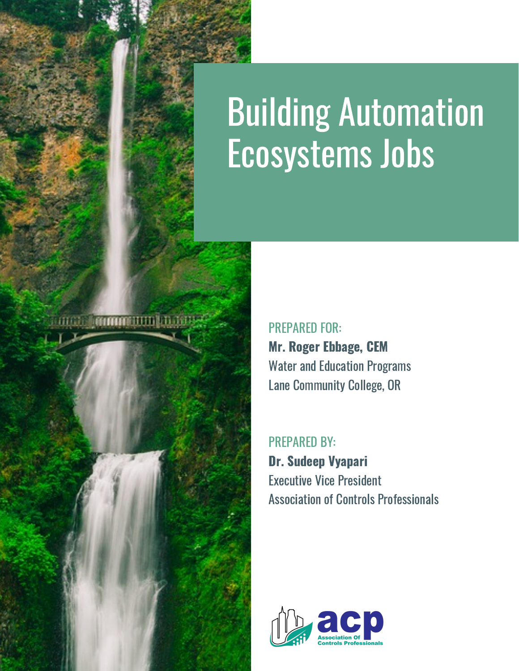# Building Automation Ecosystems Jobs



 Mr. Roger Ebbage, CEM Water and Education Programs Lane Community College, OR PREPARED FOR:

 Dr. Sudeep Vyapari Executive Vice President Association of Controls Professionals PREPARED BY:

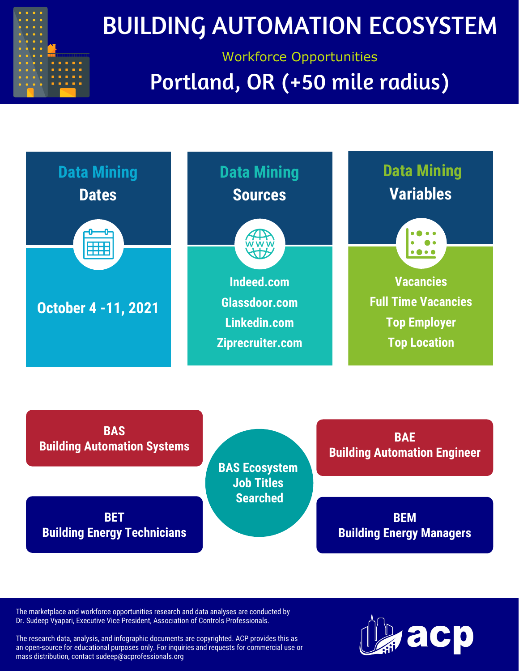

### BUILDING AUTOMATION ECOSYSTEM

### Workforce Opportunities Portland, OR (+50 mile radius)



**BET Building Energy Technicians**

**BEM Building Energy Managers**

The marketplace and workforce opportunities research and data analyses are conducted by Dr. Sudeep Vyapari, Executive Vice President, Association of Controls Professionals.

The research data, analysis, and infographic documents are copyrighted. ACP provides this as an open-source for educational purposes only. For inquiries and requests for commercial use or mass distribution, contact [sudeep@acprofessionals.org](mailto:sudeep@acprofessionals.org)

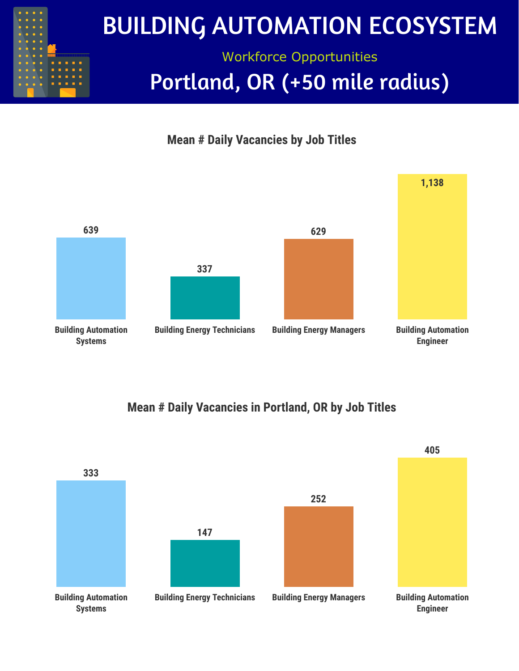





#### **Mean # Daily Vacancies in Portland, OR by Job Titles**

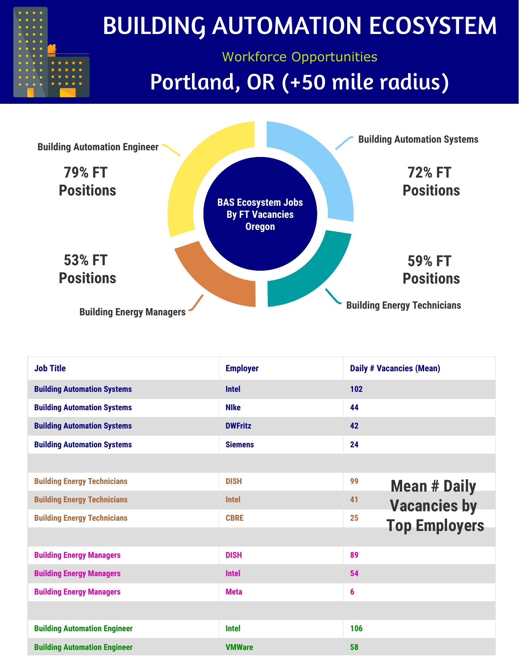

| <b>Job Title</b>                    | <b>Employer</b> | <b>Daily # Vacancies (Mean)</b> |
|-------------------------------------|-----------------|---------------------------------|
| <b>Building Automation Systems</b>  | <b>Intel</b>    | 102                             |
| <b>Building Automation Systems</b>  | <b>Nike</b>     | 44                              |
| <b>Building Automation Systems</b>  | <b>DWFritz</b>  | 42                              |
| <b>Building Automation Systems</b>  | <b>Siemens</b>  | 24                              |
|                                     |                 |                                 |
| <b>Building Energy Technicians</b>  | <b>DISH</b>     | 99<br><b>Mean # Daily</b>       |
| <b>Building Energy Technicians</b>  | <b>Intel</b>    | 41<br><b>Vacancies by</b>       |
| <b>Building Energy Technicians</b>  | <b>CBRE</b>     | 25<br><b>Top Employers</b>      |
|                                     |                 |                                 |
| <b>Building Energy Managers</b>     | <b>DISH</b>     | 89                              |
| <b>Building Energy Managers</b>     | <b>Intel</b>    | 54                              |
| <b>Building Energy Managers</b>     | <b>Meta</b>     | 6                               |
|                                     |                 |                                 |
| <b>Building Automation Engineer</b> | <b>Intel</b>    | 106                             |
| <b>Building Automation Engineer</b> | <b>VMWare</b>   | 58                              |